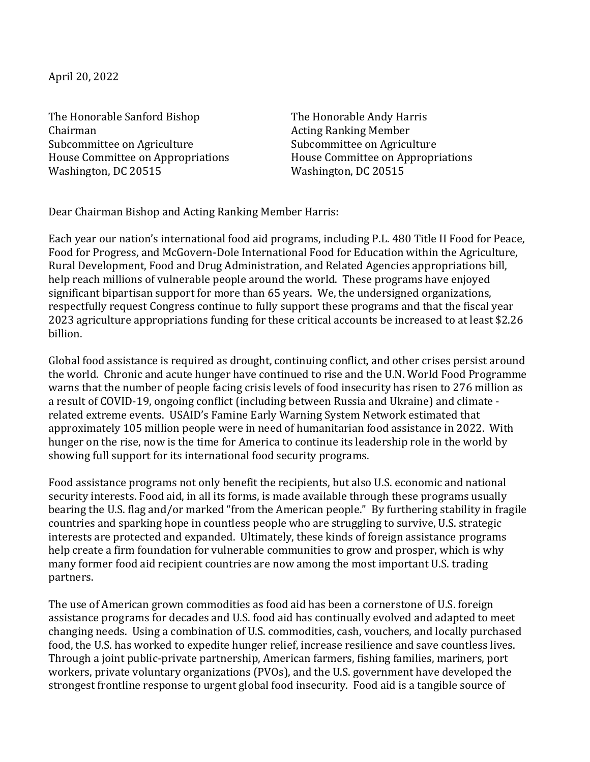April 20, 2022

The Honorable Sanford Bishop The Honorable Andy Harris Chairman **Acting Ranking Member** Acting Ranking Member Subcommittee on Agriculture Subcommittee on Agriculture Washington, DC 20515 Washington, DC 20515

House Committee on Appropriations **House Committee** on Appropriations

Dear Chairman Bishop and Acting Ranking Member Harris:

Each year our nation's international food aid programs, including P.L. 480 Title II Food for Peace, Food for Progress, and McGovern-Dole International Food for Education within the Agriculture, Rural Development, Food and Drug Administration, and Related Agencies appropriations bill, help reach millions of vulnerable people around the world. These programs have enjoyed significant bipartisan support for more than 65 years. We, the undersigned organizations, respectfully request Congress continue to fully support these programs and that the fiscal year 2023 agriculture appropriations funding for these critical accounts be increased to at least \$2.26 billion. 

Global food assistance is required as drought, continuing conflict, and other crises persist around the world. Chronic and acute hunger have continued to rise and the U.N. World Food Programme warns that the number of people facing crisis levels of food insecurity has risen to 276 million as a result of COVID-19, ongoing conflict (including between Russia and Ukraine) and climate related extreme events. USAID's Famine Early Warning System Network estimated that approximately 105 million people were in need of humanitarian food assistance in 2022. With hunger on the rise, now is the time for America to continue its leadership role in the world by showing full support for its international food security programs.

Food assistance programs not only benefit the recipients, but also U.S. economic and national security interests. Food aid, in all its forms, is made available through these programs usually bearing the U.S. flag and/or marked "from the American people." By furthering stability in fragile countries and sparking hope in countless people who are struggling to survive, U.S. strategic interests are protected and expanded. Ultimately, these kinds of foreign assistance programs help create a firm foundation for vulnerable communities to grow and prosper, which is why many former food aid recipient countries are now among the most important U.S. trading partners.

The use of American grown commodities as food aid has been a cornerstone of U.S. foreign assistance programs for decades and U.S. food aid has continually evolved and adapted to meet changing needs. Using a combination of U.S. commodities, cash, vouchers, and locally purchased food, the U.S. has worked to expedite hunger relief, increase resilience and save countless lives. Through a joint public-private partnership, American farmers, fishing families, mariners, port workers, private voluntary organizations (PVOs), and the U.S. government have developed the strongest frontline response to urgent global food insecurity. Food aid is a tangible source of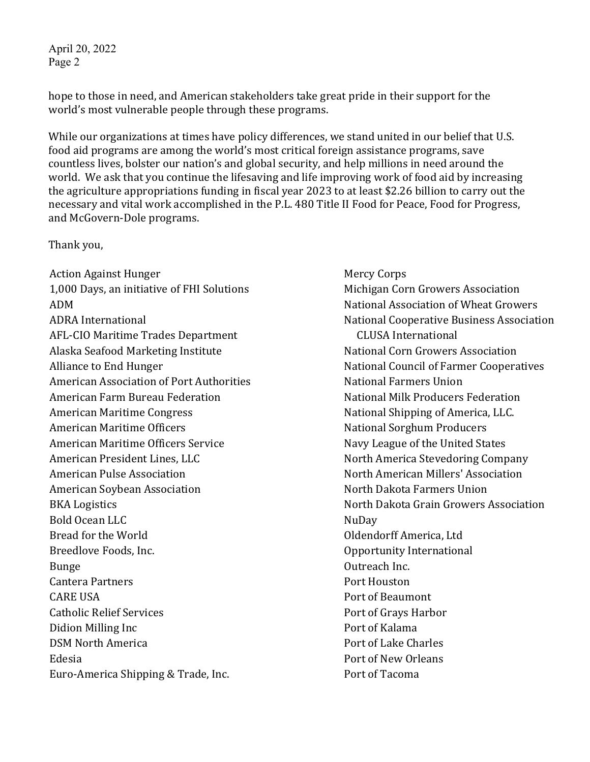April 20, 2022 Page 2

hope to those in need, and American stakeholders take great pride in their support for the world's most vulnerable people through these programs.

While our organizations at times have policy differences, we stand united in our belief that U.S. food aid programs are among the world's most critical foreign assistance programs, save countless lives, bolster our nation's and global security, and help millions in need around the world. We ask that you continue the lifesaving and life improving work of food aid by increasing the agriculture appropriations funding in fiscal year 2023 to at least \$2.26 billion to carry out the necessary and vital work accomplished in the P.L. 480 Title II Food for Peace, Food for Progress, and McGovern-Dole programs.

Thank you, 

Action Against Hunger **Mercy Corps** Mercy Corps 1,000 Days, an initiative of FHI Solutions Michigan Corn Growers Association ADM  $\bullet$  ADM  $\bullet$  and  $\bullet$  and  $\bullet$  and  $\bullet$  and  $\bullet$  and  $\bullet$  and  $\bullet$  and  $\bullet$  and  $\bullet$  and  $\bullet$  and  $\bullet$  and  $\bullet$  and  $\bullet$  and  $\bullet$  and  $\bullet$  and  $\bullet$  and  $\bullet$  and  $\bullet$  and  $\bullet$  and  $\bullet$  and  $\bullet$  and  $\bullet$  and  $\bullet$  and  $\$ AFL-CIO Maritime Trades Department **ACCUSA** International Alaska Seafood Marketing Institute National Corn Growers Association Alliance to End Hunger **National Council of Farmer Cooperatives** American Association of Port Authorities National Farmers Union American Farm Bureau Federation National Milk Producers Federation American Maritime Congress The Congress National Shipping of America, LLC. American Maritime Officers **National Sorghum Producers** National Sorghum Producers American Maritime Officers Service National Mary League of the United States American President Lines, LLC North America Stevedoring Company American Pulse Association North American Millers' Association American Soybean Association North Dakota Farmers Union BKA Logistics **North Dakota Grain Growers Association** Bold Ocean LLC NuDay Bread for the World **Example 2018** Contract Contract Oldendorff America, Ltd Breedlove Foods, Inc. The contraction of the Component Component Component Component Component Component Compo Bunge **Outreach Inc. Cantera Partners Community Community Community Port Houston** CARE USA Port of Beaumont Catholic Relief Services **Port** of Grays Harbor Didion Milling Inc **Port** of Kalama **DSM** North America **Portage Charles** Port of Lake Charles Edesia **Port of New Orleans** Euro-America Shipping & Trade, Inc. The Contract Port of Tacoma

ADRA International **National** National Cooperative Business Association